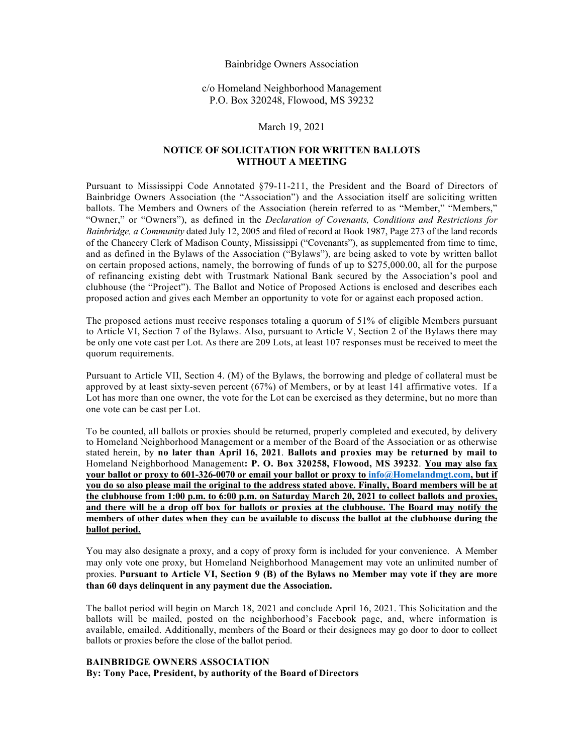#### Bainbridge Owners Association

c/o Homeland Neighborhood Management P.O. Box 320248, Flowood, MS 39232

#### March 19, 2021

#### **NOTICE OF SOLICITATION FOR WRITTEN BALLOTS WITHOUT A MEETING**

Pursuant to Mississippi Code Annotated §79-11-211, the President and the Board of Directors of Bainbridge Owners Association (the "Association") and the Association itself are soliciting written ballots. The Members and Owners of the Association (herein referred to as "Member," "Members," "Owner," or "Owners"), as defined in the *Declaration of Covenants, Conditions and Restrictions for Bainbridge, a Community* dated July 12, 2005 and filed of record at Book 1987, Page 273 of the land records of the Chancery Clerk of Madison County, Mississippi ("Covenants"), as supplemented from time to time, and as defined in the Bylaws of the Association ("Bylaws"), are being asked to vote by written ballot on certain proposed actions, namely, the borrowing of funds of up to \$275,000.00, all for the purpose of refinancing existing debt with Trustmark National Bank secured by the Association's pool and clubhouse (the "Project"). The Ballot and Notice of Proposed Actions is enclosed and describes each proposed action and gives each Member an opportunity to vote for or against each proposed action.

The proposed actions must receive responses totaling a quorum of 51% of eligible Members pursuant to Article VI, Section 7 of the Bylaws. Also, pursuant to Article V, Section 2 of the Bylaws there may be only one vote cast per Lot. As there are 209 Lots, at least 107 responses must be received to meet the quorum requirements.

Pursuant to Article VII, Section 4. (M) of the Bylaws, the borrowing and pledge of collateral must be approved by at least sixty-seven percent (67%) of Members, or by at least 141 affirmative votes. If a Lot has more than one owner, the vote for the Lot can be exercised as they determine, but no more than one vote can be cast per Lot.

To be counted, all ballots or proxies should be returned, properly completed and executed, by delivery to Homeland Neighborhood Management or a member of the Board of the Association or as otherwise stated herein, by **no later than April 16, 2021**. **Ballots and proxies may be returned by mail to**  Homeland Neighborhood Management**: P. O. Box 320258, Flowood, MS 39232**. **You may also fax your ballot or proxy to 601-326-0070 or email your ballot or proxy to info@Homelandmgt.com, but if you do so also please mail the original to the address stated above. Finally, Board members will be at the clubhouse from 1:00 p.m. to 6:00 p.m. on Saturday March 20, 2021 to collect ballots and proxies, and there will be a drop off box for ballots or proxies at the clubhouse. The Board may notify the members of other dates when they can be available to discuss the ballot at the clubhouse during the ballot period.**

You may also designate a proxy, and a copy of proxy form is included for your convenience. A Member may only vote one proxy, but Homeland Neighborhood Management may vote an unlimited number of proxies. **Pursuant to Article VI, Section 9 (B) of the Bylaws no Member may vote if they are more than 60 days delinquent in any payment due the Association.**

The ballot period will begin on March 18, 2021 and conclude April 16, 2021. This Solicitation and the ballots will be mailed, posted on the neighborhood's Facebook page, and, where information is available, emailed. Additionally, members of the Board or their designees may go door to door to collect ballots or proxies before the close of the ballot period.

#### **BAINBRIDGE OWNERS ASSOCIATION**

**By: Tony Pace, President, by authority of the Board of Directors**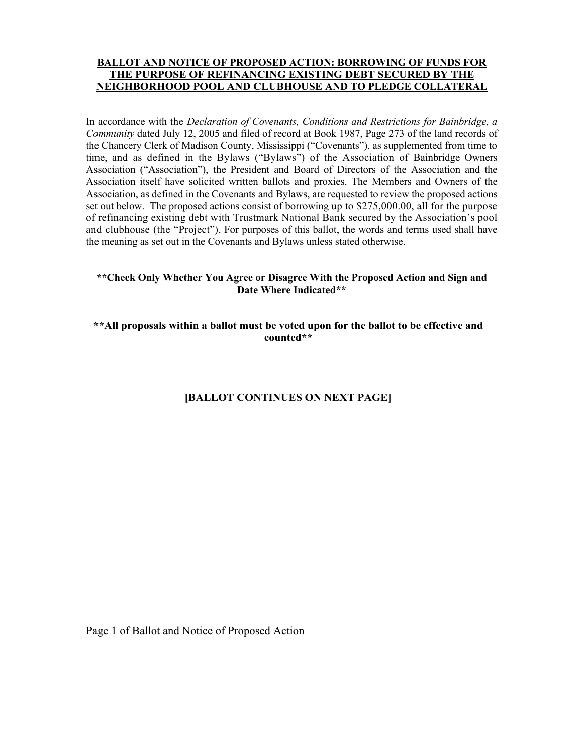### **BALLOT AND NOTICE OF PROPOSED ACTION: BORROWING OF FUNDS FOR THE PURPOSE OF REFINANCING EXISTING DEBT SECURED BY THE NEIGHBORHOOD POOL AND CLUBHOUSE AND TO PLEDGE COLLATERAL**

In accordance with the *Declaration of Covenants, Conditions and Restrictions for Bainbridge, a Community* dated July 12, 2005 and filed of record at Book 1987, Page 273 of the land records of the Chancery Clerk of Madison County, Mississippi ("Covenants"), as supplemented from time to time, and as defined in the Bylaws ("Bylaws") of the Association of Bainbridge Owners Association ("Association"), the President and Board of Directors of the Association and the Association itself have solicited written ballots and proxies. The Members and Owners of the Association, as defined in the Covenants and Bylaws, are requested to review the proposed actions set out below. The proposed actions consist of borrowing up to \$275,000.00, all for the purpose of refinancing existing debt with Trustmark National Bank secured by the Association's pool and clubhouse (the "Project"). For purposes of this ballot, the words and terms used shall have the meaning as set out in the Covenants and Bylaws unless stated otherwise.

## **\*\*Check Only Whether You Agree or Disagree With the Proposed Action and Sign and Date Where Indicated\*\***

## **\*\*All proposals within a ballot must be voted upon for the ballot to be effective and counted\*\***

# **[BALLOT CONTINUES ON NEXT PAGE]**

Page 1 of Ballot and Notice of Proposed Action